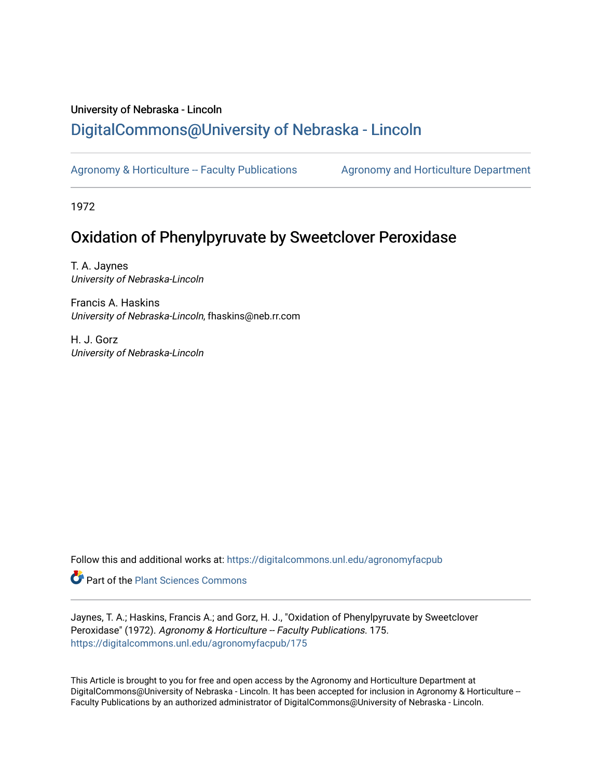## University of Nebraska - Lincoln [DigitalCommons@University of Nebraska - Lincoln](https://digitalcommons.unl.edu/)

[Agronomy & Horticulture -- Faculty Publications](https://digitalcommons.unl.edu/agronomyfacpub) Agronomy and Horticulture Department

1972

# Oxidation of Phenylpyruvate by Sweetclover Peroxidase

T. A. Jaynes University of Nebraska-Lincoln

Francis A. Haskins University of Nebraska-Lincoln, fhaskins@neb.rr.com

H. J. Gorz University of Nebraska-Lincoln

Follow this and additional works at: [https://digitalcommons.unl.edu/agronomyfacpub](https://digitalcommons.unl.edu/agronomyfacpub?utm_source=digitalcommons.unl.edu%2Fagronomyfacpub%2F175&utm_medium=PDF&utm_campaign=PDFCoverPages)

Part of the [Plant Sciences Commons](http://network.bepress.com/hgg/discipline/102?utm_source=digitalcommons.unl.edu%2Fagronomyfacpub%2F175&utm_medium=PDF&utm_campaign=PDFCoverPages)

Jaynes, T. A.; Haskins, Francis A.; and Gorz, H. J., "Oxidation of Phenylpyruvate by Sweetclover Peroxidase" (1972). Agronomy & Horticulture -- Faculty Publications. 175. [https://digitalcommons.unl.edu/agronomyfacpub/175](https://digitalcommons.unl.edu/agronomyfacpub/175?utm_source=digitalcommons.unl.edu%2Fagronomyfacpub%2F175&utm_medium=PDF&utm_campaign=PDFCoverPages)

This Article is brought to you for free and open access by the Agronomy and Horticulture Department at DigitalCommons@University of Nebraska - Lincoln. It has been accepted for inclusion in Agronomy & Horticulture --Faculty Publications by an authorized administrator of DigitalCommons@University of Nebraska - Lincoln.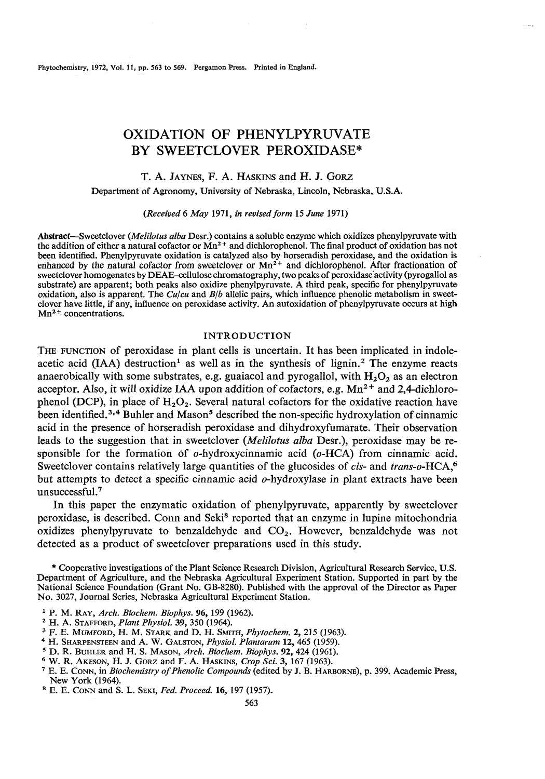Phytochemistry, 1972, Vol. 11, pp. 563 to 569. Pergamon Press. Printed in England.

### OXIDATION OF PHENYLPYRUVATE BY SWEETCLOVER PEROXIDASE\*

#### T. A. JAYNES, F. A. HASKINS and H. J. **GORZ**

Department of Agronomy, University of Nebraska, Lincoln, Nebraska, U.S.A.

*(Received* 6 *May* 1971, *in revised form* 15 *June* 1971)

Abstract-Sweetclover *(Melilotus alba* Desr.) contains a soluble enzyme which oxidizes phenylpyruvate with the addition of either a natural cofactor or  $Mn^2$  and dichlorophenol. The final product of oxidation has not been identilied. Phenylpyruvate oxidation is catalyzed also by horseradish peroxidase, and the oxidation is enhanced by the natural cofactor from sweetclover or  $Mn^{2+}$  and dichlorophenol. After fractionation of sweetclover homogenates by DEAE-cellulose chromatography, two peaks of peroxidase activity (pyrogallol as substrate) are apparent; both peaks also oxidize phenylpyruvate. A third peak, specific for phenylpyruvate oxidation, also is apparent. The *Culcu* and *Blb* allelic pairs, which influence phenolic metabolism in sweetclover have little, if any, influence on peroxidase activity. An autoxidation of phenylpyruvate occurs at high  $Mn^{2+}$  concentrations.

#### INTRODUCTION

THE FUNCTION of peroxidase in plant cells is uncertain. It has been implicated in indoleacetic acid (IAA) destruction<sup>1</sup> as well as in the synthesis of lignin.<sup>2</sup> The enzyme reacts anaerobically with some substrates, e.g. guaiacol and pyrogallol, with  $H_2O_2$  as an electron acceptor. Also, it will oxidize IAA upon addition of cofactors, e.g.  $Mn^{2+}$  and 2,4-dichlorophenol (DCP), in place of  $H_2O_2$ . Several natural cofactors for the oxidative reaction have been identified.<sup>3,4</sup> Buhler and Mason<sup>5</sup> described the non-specific hydroxylation of cinnamic acid in the presence of horseradish peroxidase and dihydroxyfumarate. Their observation leads to the suggestion that in sweetclover *(Melilotus alba Desr.)*, peroxidase may be responsible for the formation of o-hydroxycinnamic acid (0-HCA) from cinnamic acid. Sweetclover contains relatively large quantities of the glucosides of *cis*- and *trans-o*-HCA,<sup>6</sup> but attempts to detect a specific cinnamic acid o-hydroxylase in plant extracts have been unsuccessful.7

In this paper the enzymatic oxidation of phenylpyruvate, apparently by sweetclover peroxidase, is described. Conn and Seki<sup>8</sup> reported that an enzyme in lupine mitochondria oxidizes phenylpyruvate to benzaldehyde and CO,. However, benzaldehyde was not detected as a product of sweetclover preparations used in this study.

\* Cooperative investigations of the Plant Science Research Division, Agricultural Research Service, U.S. Department of Agriculture, and the Nebraska Agricultural Experiment Station. Supported in part by the National Science Foundation (Grant No. GB-8280). Published with the approval of the Director as Paper No. 3027, Journal Series, Nebraska Agricultural Experiment Station.

- P. M. RAY, *Arch. Biochem. Biophys.* 96,199 (1962).
- *H.* A. STAFFORD, *Plant Physiol.* 39, 350 (1964).
- F. E. MUMFORD, H. M. STARK and D. H. SMITH, *Phytochem.* 2,215 (1963).
- *H.* SHARPENSTEEN and A. W. GALSTON, *Physiol. Plantarum* 12,465 (1959).
- <sup>5</sup> D. R. BUHLER and H. S. MASON, *Arch. Biochem. Biophys.* **92**, 424 (1961). <sup>6</sup> W. R. AKESON, H. J. GORZ and F. A. HASKINS, *Crop Sci.* **3**, 167 (1963).
- 
- *W.* R. AKESON, H. J. GORZ and F. A. HASKINS, *Crop Sci.* 3, 167 (1963). ' E. E. CONN, in *Biochemistry of Phenolic Compounds* (edited by J. B. HARBORNE), p. 399. Academic Press, New York (1964).
- E. E. CONN and S. L. SEKI, *Fed. Proceed.* 16, 197 (1957).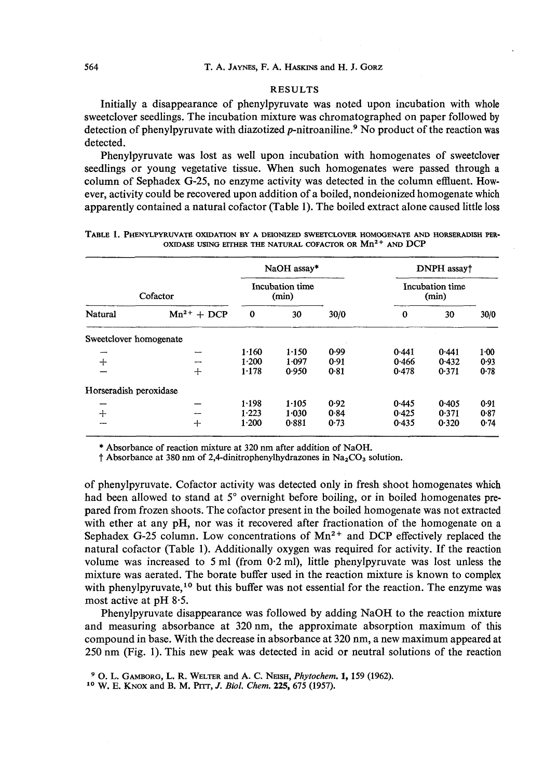#### **RESULTS**

Initially a disappearance of phenylpyruvate was noted upon incubation with whole sweetclover seedlings. The incubation mixture was chromatographed on paper followed by detection of phenylpyruvate with diazotized  $p$ -nitroaniline.<sup>9</sup> No product of the reaction was detected.

Phenylpyruvate was lost as well upon incubation with homogenates of sweetclover seedlings or young vegetative tissue. When such homogenates were passed through a column of Sephadex G-25, no enzyme activity was detected in the column effluent. However, activity could be recovered upon addition of a boiled, nondeionized homogenate which apparently contained a natural cofactor (Table **1).** The boiled extract alone caused little loss

|                        |                 | NaOH assay*              |       |      | DNPH assay†              |       |          |  |
|------------------------|-----------------|--------------------------|-------|------|--------------------------|-------|----------|--|
| Cofactor               |                 | Incubation time<br>(min) |       |      | Incubation time<br>(min) |       |          |  |
| Natural                | $Mn^{2+} + DCP$ | $\bf{o}$                 | 30    | 30/0 | $\bf{0}$                 | 30    | 30/0     |  |
| Sweetclover homogenate |                 |                          |       |      |                          |       |          |  |
|                        |                 | 1.160                    | 1.150 | 0.99 | 0.441                    | 0.441 | $1 - 00$ |  |
| $+$                    |                 | 1.200                    | 1.097 | 0.91 | 0.466                    | 0.432 | 0.93     |  |
|                        | $+$             | 1.178                    | 0.950 | 0.81 | 0.478                    | 0.371 | 0.78     |  |
| Horseradish peroxidase |                 |                          |       |      |                          |       |          |  |
|                        |                 | 1.198                    | 1.105 | 0.92 | 0.445                    | 0.405 | 0.91     |  |
| $+$                    |                 | 1.223                    | 1.030 | 0.84 | 0.425                    | 0.371 | 0.87     |  |
| ---                    | ┿               | 1.200                    | 0.881 | 0.73 | 0.435                    | 0.320 | 0.74     |  |

| TABLE 1. PHENYLPYRUVATE OXIDATION BY A DEIONIZED SWEETCLOVER HOMOGENATE AND HORSERADISH PER- |  |                                                                |  |  |
|----------------------------------------------------------------------------------------------|--|----------------------------------------------------------------|--|--|
|                                                                                              |  | OXIDASE USING ETTHER THE NATURAL COFACTOR OR $Mn^{2+}$ and DCP |  |  |

\* **Absorbance of reaction mixture at 320 nm after addition of NaOH.** 

**t Absorbance at 380 nm of 2,4-dinitrophenylhydrazones in NazC03 solution.** 

of phenylpyruvate. Cofactor activity was detected only in fresh shoot homogenates which had been allowed to stand at 5° overnight before boiling, or in boiled homogenates prepared from frozen shoots. The cofactor present in the boiled homogenate was not extracted with ether at any pH, nor was it recovered after fractionation of the homogenate on a Sephadex G-25 column. Low concentrations of  $Mn^{2+}$  and DCP effectively replaced the natural cofactor (Table **1).** Additionally oxygen was required for activity. If the reaction volume was increased to 5 ml (from 0.2 ml), little phenylpyruvate was lost unless the mixture was aerated. The borate buffer used in the reaction mixture is known to complex with phenylpyruvate,<sup>10</sup> but this buffer was not essential for the reaction. The enzyme was most active at pH 8.5.

Phenylpyruvate disappearance was followed by adding NaOH to the reaction mixture and measuring absorbance at 320 nm, the approximate absorption maximum of this compound in base. With the decrease in absorbance at 320 nm, a new maximum appeared at 250 nm (Fig. 1). This new peak was detected in acid or neutral solutions of the reaction

**<sup>0.</sup> L. GAMBORG, L. R. WELTER and A. C. NEISH, Phytochem. 1,159 (1962). lo W. E. KNOX and B. M. Prrr, J.** *Biol.* **Chem. 225,675 (1957).**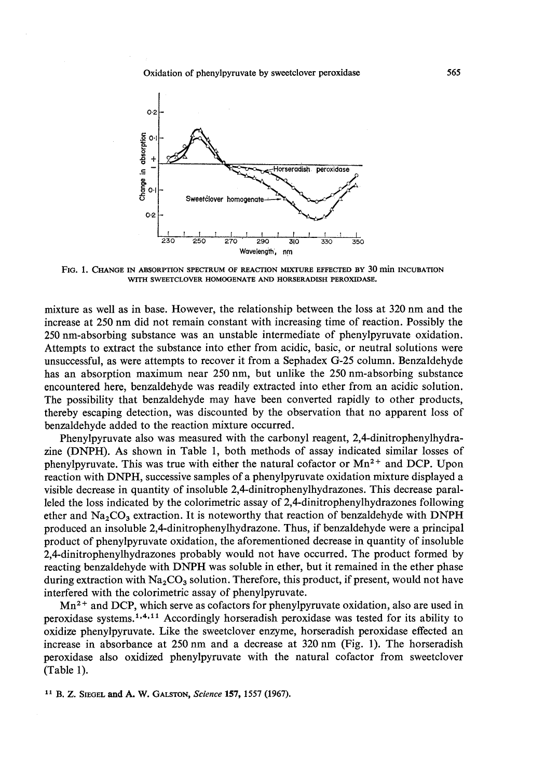

**FIG. 1. CHANGE IN ABSORPTION SPECTRUM OF REACTION MIXTURE EFFECTED BY 30 min INCUBATION WITH SWEETCLOVER HOMOGENATE AND HORSERADISH PEROXIDASE.** 

mixture as well as in base. However, the relationship between the loss at 320 nm and the increase at 250 nm did not remain constant with increasing time of reaction. Possibly the 250 nm-absorbing substance was an unstable intermediate of phenylpyruvate oxidation. Attempts to extract the substance into ether from acidic, basic, or neutral solutions were unsuccessful, as were attempts to recover it from a Sephadex G-25 column. Benzaldehyde has an absorption maximum near 250 nm, but unlike the 250 nm-absorbing substance encountered here, benzaldehyde was readily extracted into ether from an acidic solution. The possibility that benzaldehyde may have been converted rapidly to other products, thereby escaping detection, was discounted by the observation that no apparent loss of benzaldehyde added to the reaction mixture occurred.

Phenylpyruvate also was measured with the carbonyl reagent, 2,4-dinitrophenylhydrazine (DNPH). As shown in Table 1, both methods of assay indicated similar losses of phenylpyruvate. This was true with either the natural cofactor or  $Mn^{2+}$  and DCP. Upon reaction with DNPH, successive samples of a phenylpyruvate oxidation mixture displayed a visible decrease in quantity of insoluble 2,4-dinitrophenylhydrazones. This decrease paralleled the loss indicated by the colorimetric assay of **2,4-dinitrophenylhydrazones** following ether and  $Na<sub>2</sub>CO<sub>3</sub>$  extraction. It is noteworthy that reaction of benzaldehyde with DNPH produced an insoluble 2,4dinitrophenylhydrazone. Thus, if benzaldehyde were a principal product of phenylpyruvate oxidation, the aforementioned decrease in quantity of insoluble **2,4-dinitrophenylhydrazones** probably would not have occurred. The product formed by reacting benzaldehyde with DNPH was soluble in ether, but it remained in the ether phase during extraction with  $Na<sub>2</sub>CO<sub>3</sub>$  solution. Therefore, this product, if present, would not have interfered with the colorimetric assay of phenylpyruvate.

Mn2+ and DCP, which serve as cofactors for phenylpyruvate oxidation, also are used in peroxidase systems.<sup>1,4,11</sup> Accordingly horseradish peroxidase was tested for its ability to oxidize phenylpyruvate. Like the sweetclover enzyme, horseradish peroxidase effected an increase in absorbance at 250 nm and a decrease at 320 nm (Fig. 1). The horseradish peroxidase also oxidized phenylpyruvate with the natural cofactor from sweetclover (Table 1).

**l1 B. Z. SIEGEL and A. W. GALSTON, Science 157,1557 (1967).**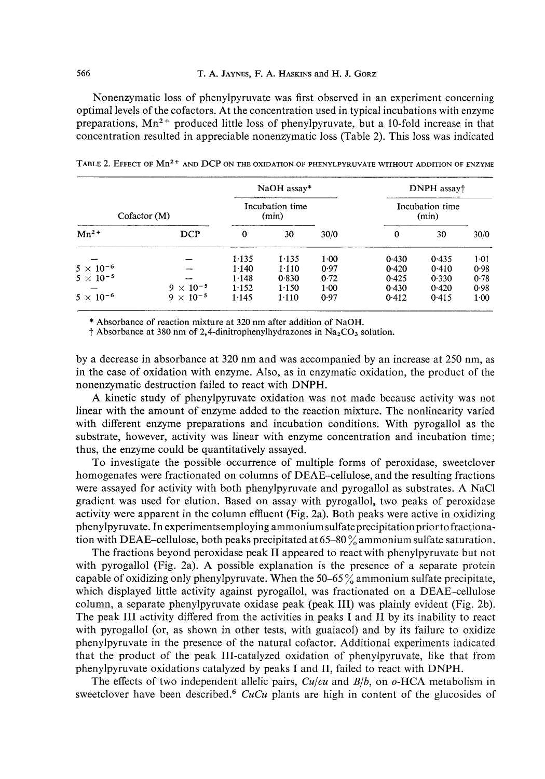#### **566 T. A. JAYNES, F. A. HASKINS and H. J. GORZ**

Nonenzymatic loss of phenylpyruvate was first observed in an experiment concerning optimal levels of the cofactors. At the concentration used in typical incubations with enzyme preparations,  $Mn^{2+}$  produced little loss of phenylpyruvate, but a 10-fold increase in that concentration resulted in appreciable nonenzymatic loss (Table 2). This loss was indicated

|                     |                    | NaOH assay*              |         |          | DNPH assay†              |       |        |
|---------------------|--------------------|--------------------------|---------|----------|--------------------------|-------|--------|
| Cofactor(M)         |                    | Incubation time<br>(min) |         |          | Incubation time<br>(min) |       |        |
| $Mn^2$ <sup>+</sup> | <b>DCP</b>         | 0                        | 30      | 30/0     | 0                        | 30    | 30/0   |
|                     |                    | 1.135                    | 1.135   | 1.00     | 0.430                    | 0.435 | $1-01$ |
| $5 \times 10^{-6}$  |                    | 1.140                    | $1-110$ | 0.97     | 0.420                    | 0.410 | 0.98   |
| $5 \times 10^{-5}$  |                    | 1.148                    | 0.830   | 0.72     | 0.425                    | 0.330 | 0.78   |
|                     | $9 \times 10^{-5}$ | 1.152                    | 1.150   | $1 - 00$ | 0.430                    | 0.420 | 0.98   |
| $5\times10^{-6}$    | $9 \times 10^{-5}$ | 1.145                    | $1-110$ | 0.97     | 0.412                    | 0.415 | $1-00$ |

TABLE 2. EFFECT OF Mn<sup>2+</sup> and DCP on the oxidation of phenylpyruvate without addition of enzyme

\* **Absorbance of reaction mixture at** 320 **nm after addition of NaOH.** 

 $\dagger$  Absorbance at 380 nm of 2,4-dinitrophenylhydrazones in Na<sub>2</sub>CO<sub>3</sub> solution.

by a decrease in absorbance at 320 nm and was accompanied by an increase at 250 nm, as in the case of oxidation with enzyme. Also, as in enzymatic oxidation, the product of the nonenzymatic destruction failed to react with DNPH.

A kinetic study of phenylpyruvate oxidation was not made because activity was not linear with the amount of enzyme added to the reaction mixture. The nonlinearity varied with different enzyme preparations and incubation conditions. With pyrogallol as the substrate, however, activity was linear with enzyme concentration and incubation time; thus, the enzyme could be quantitatively assayed.

To investigate the possible occurrence of multiple forms of peroxidase, sweetclover homogenates were fractionated on columns of DEAE-cellulose, and the resulting fractions were assayed for activity with both phenylpyruvate and pyrogallol as substrates. A NaCl gradient was used for elution. Based on assay with pyrogallol, two peaks of peroxidase activity were apparent in the column effluent (Fig. 2a). Both peaks were active in oxidizing phenylpyruvate. In experimentsemploying ammonium sulfateprecipitationpriortofractionation with DEAE-cellulose, both peaks precipitated at 65-80 % ammonium sulfate saturation.

The fractions beyond peroxidase peak I1 appeared to react with phenylpyruvate but not with pyrogallol (Fig. 2a). A possible explanation is the presence of a separate protein capable of oxidizing only phenylpyruvate. When the  $50-65\%$  ammonium sulfate precipitate, which displayed little activity against pyrogallol, was fractionated on a DEAE-cellulose column, a separate phenylpyruvate oxidase peak (peak 111) was plainly evident (Fig. 2b). The peak I11 activity differed from the activities in peaks I and I1 by its inability to react with pyrogallol (or, as shown in other tests, with guaiacol) and by its failure to oxidize phenylpyruvate in the presence of the natural cofactor. Additional experiments indicated that the product of the peak 111-catalyzed oxidation of phenylpyruvate, like that from phenylpyruvate oxidations catalyzed by peaks I and 11, failed to react with DNPH.

The effects of two independent allelic pairs, Culcu and *B/b,* on o-HCA metabolism in sweetclover have been described.<sup>6</sup> CuCu plants are high in content of the glucosides of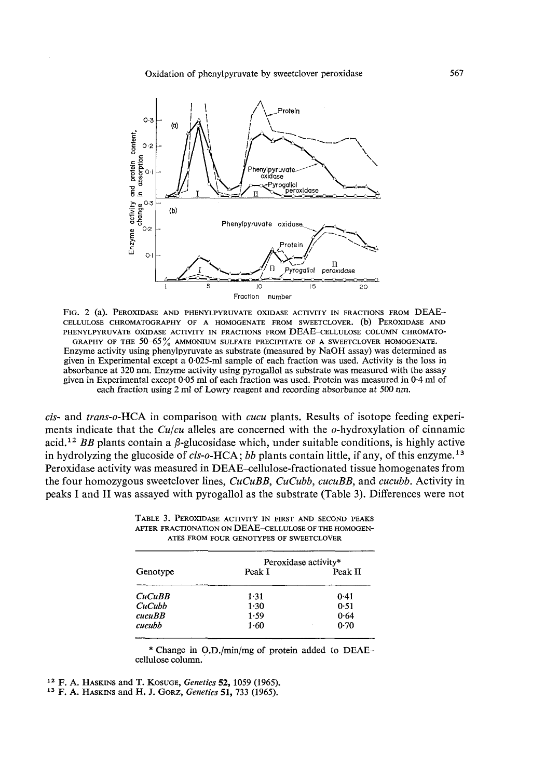Oxidation of phenylpyruvate by sweetclover peroxidase



FIG. 2 (a). PEROXIDASE AND PHENYLPYRUVATE OXIDASE ACTIVITY IN FRACTIONS FROM DEAE-CELLULOSE CHROMATOGRAPHY OF A HOMOGENATE FROM SWEETCLOVER. (b) PEROXIDASE AND PHENYLPYRUVATE OXIDASE ACTIVITY IN FRACTIONS FROM DEAE-CELLULOSE COLUMN CHROMATO-GRAPHY OF THE  $50-65\%$  ammonium sulfate precipitate of a sweetclover homogenate. Enzyme activity using phenylpyruvate as substrate (measured by NaOH assay) was determined as given in Experimental except a 0.025-ml sample of each fraction was used. Activity is the loss in absorbance at 320 nm. Enzyme activity using pyrogallol as substrate was measured with the assay given in Experimental except 0.05 ml of each fraction was used. Protein was measured in 0.4 ml of each fraction using 2 ml of Lowry reagent and recording absorbance at 500 nm.

cis- and trans-o-HCA in comparison with cucu plants. Results of isotope feeding experiments indicate that the  $Cu/cu$  alleles are concerned with the  $o$ -hydroxylation of cinnamic acid.<sup>12</sup> BB plants contain a  $\beta$ -glucosidase which, under suitable conditions, is highly active in hydrolyzing the glucoside of  $cis$ -o-HCA; bb plants contain little, if any, of this enzyme.<sup>13</sup> Peroxidase activity was measured in DEAE-cellulose-fractionated tissue homogenates from the four homozygous sweetclover lines, CuCuBB, CuCubb, cucuBB, and cucubb. Activity in peaks I and **I1** was assayed with pyrogallol as the substrate (Table 3). Differences were not

|          | Peroxidase activity* |         |  |  |
|----------|----------------------|---------|--|--|
| Genotype | Peak I               | Peak II |  |  |
| CuCuBB   | 1.31                 | 0.41    |  |  |
| CuCubb   | 1.30                 | 0.51    |  |  |
| cucuBB   | 1.59                 | 0.64    |  |  |
| cucubb   | 1.60                 | 0.70    |  |  |

TABLE 3. PEROXIDASE ACTIVITY IN FIRST AND SECOND PEAKS AFTER FRACTIONATION ON DEAE-CELLULOSE OF THE HOMOGEN-ATES FROM FOUR GENOTYPES OF SWEETCLOVER

\* Change in O.D./min/mg of protein added to DEAEcellulose column.

**l3** F. A. HASKINS and H. J. GORZ, *Genetics* 51,733 (1965).

**l2 F.** A. HASKINS and T. KOSUGE, *Genetics* 52, 1059 (1965).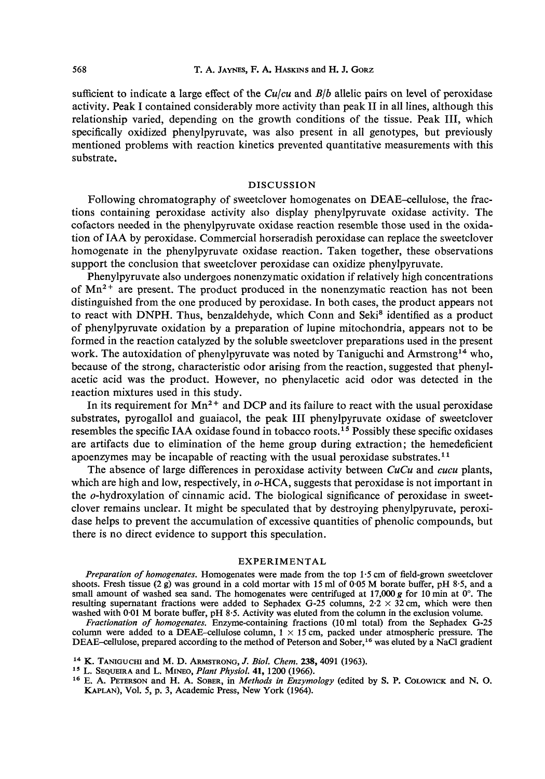sufficient to indicate a large effect of the *Culcu* and *B/b* allelic pairs on level of peroxidase activity. Peak I contained considerably more activity than peak I1 in all lines, although this relationship varied, depending on the growth conditions of the tissue. Peak 111, which specifically oxidized phenylpyruvate, was also present in all genotypes, but previously mentioned problems with reaction kinetics prevented quantitative measurements with this substrate.

#### DISCUSSION

Following chromatography of sweetclover homogenates on DEAE-cellulose, the fractions containing peroxidase activity also display phenylpyruvate oxidase activity. The cofactors needed in the phenylpyruvate oxidase reaction resemble those used in the oxidation of IAA by peroxidase. Commercial horseradish peroxidase can replace the sweetclover homogenate in the phenylpyruvate oxidase reaction. Taken together, these observations support the conclusion that sweetclover peroxidase can oxidize phenylpyruvate.

Phenylpyruvate also undergoes nonenzymatic oxidation if relatively high concentrations of  $Mn^{2+}$  are present. The product produced in the nonenzymatic reaction has not been distinguished from the one produced by peroxidase. In both cases, the product appears not to react with DNPH. Thus, benzaldehyde, which Conn and Seki<sup>8</sup> identified as a product of phenylpyruvate oxidation by a preparation of lupine mitochondria, appears not to be formed in the reaction catalyzed by the soluble sweetclover preparations used in the present work. The autoxidation of phenylpyruvate was noted by Taniguchi and Armstrong<sup>14</sup> who, because of the strong, characteristic odor arising from the reaction, suggested that phenylacetic acid was the product. However, no phenylacetic acid odor was detected in the reaction mixtures used in this study.

In its requirement for  $Mn^{2+}$  and DCP and its failure to react with the usual peroxidase substrates, pyrogallol and guaiacol, the peak I11 phenylpyruvate oxidase of sweetclover resembles the specific IAA oxidase found in tobacco roots.15 Possibly these specific oxidases are artifacts due to elimination of the heme group during extraction; the hemedeficient apoenzymes may be incapable of reacting with the usual peroxidase substrates."

The absence of large differences in peroxidase activity between **CuCu** and *cucu* plants, which are high and low, respectively, in  $o$ -HCA, suggests that peroxidase is not important in the o-hydroxylation of cinnamic acid. The biological significance of peroxidase in sweetclover remains unclear. It might be speculated that by destroying phenylpyruvate, peroxidase helps to prevent the accumulation of excessive quantities of phenolic compounds, but there is no direct evidence to support this speculation.

#### EXPERIMENTAL

*Preparation of homogenates.* Homogenates were made from the top 1.5 cm of field-grown sweetclover shoots. Fresh tissue (2 **g)** was ground in a cold mortar with 15 ml of 0.05 M borate buffer, pH 8.5, and a small amount of washed sea sand. The homogenates were centrifuged at 17,000  $g$  for 10 min at 0°. The resulting supernatant fractions were added to Sephadex G-25 columns,  $2.2 \times 32$  cm, which were then washed with 0.01 M borate buffer, pH 8.5. Activity was eluted from the column in the exclusion volume.

*Fractionation of homogenates.* Enzyme-containing fractions (10 ml total) from the Sephadex G-25 column were added to a DEAE-cellulose column,  $1 \times 15$  cm, packed under atmospheric pressure. The DEAE-cellulose, prepared according to the method of Peterson and Sober,<sup>16</sup> was eluted by a NaCl gradient

- **l4** K. TANIGUCHI and M. D. ARMSTRONG, J. *Biol. Chem.* 238,4091 (1963).
- L. SEQUEIRA and L. MINEO, *Plant Physiol.* 41,1200 (1966).
- **l6** E. A. PETERSON and H. A. SOBER, in *Methods in Enzymology* (edited by S. P. COLOWICK and N. 0. KAPLAN), Vo1. 5, **p.** 3, Academic Press, New York (1964).